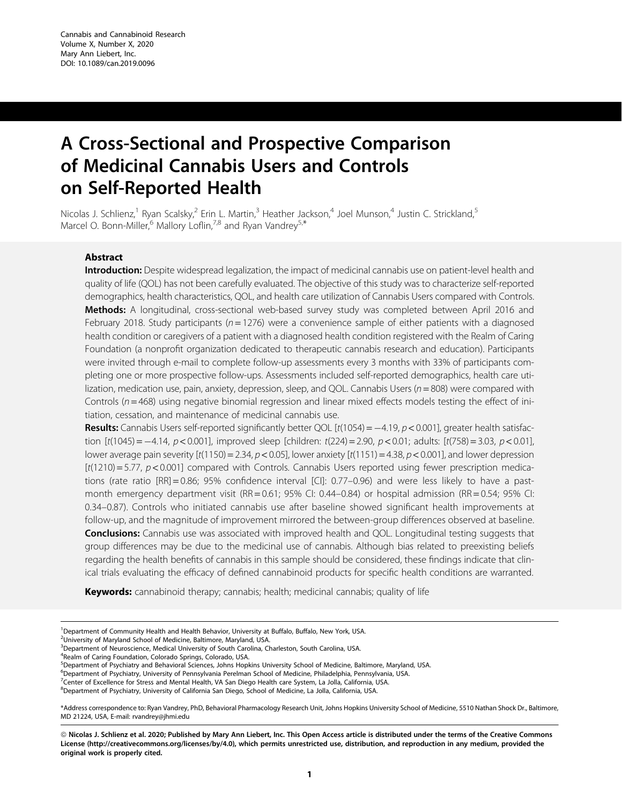# A Cross-Sectional and Prospective Comparison of Medicinal Cannabis Users and Controls on Self-Reported Health

Nicolas J. Schlienz,<sup>1</sup> Ryan Scalsky,<sup>2</sup> Erin L. Martin,<sup>3</sup> Heather Jackson,<sup>4</sup> Joel Munson,<sup>4</sup> Justin C. Strickland,<sup>5</sup> Marcel O. Bonn-Miller,<sup>6</sup> Mallory Loflin,<sup>7,8</sup> and Ryan Vandrey<sup>5,\*</sup>

# Abstract

Introduction: Despite widespread legalization, the impact of medicinal cannabis use on patient-level health and quality of life (QOL) has not been carefully evaluated. The objective of this study was to characterize self-reported demographics, health characteristics, QOL, and health care utilization of Cannabis Users compared with Controls. Methods: A longitudinal, cross-sectional web-based survey study was completed between April 2016 and February 2018. Study participants ( $n = 1276$ ) were a convenience sample of either patients with a diagnosed health condition or caregivers of a patient with a diagnosed health condition registered with the Realm of Caring Foundation (a nonprofit organization dedicated to therapeutic cannabis research and education). Participants were invited through e-mail to complete follow-up assessments every 3 months with 33% of participants completing one or more prospective follow-ups. Assessments included self-reported demographics, health care utilization, medication use, pain, anxiety, depression, sleep, and QOL. Cannabis Users (n = 808) were compared with Controls ( $n = 468$ ) using negative binomial regression and linear mixed effects models testing the effect of initiation, cessation, and maintenance of medicinal cannabis use.

Results: Cannabis Users self-reported significantly better QOL [t(1054) = -4.19, p < 0.001], greater health satisfaction [t(1045) =  $-4.14$ ,  $p < 0.001$ ], improved sleep [children: t(224) = 2.90,  $p < 0.01$ ; adults: [t(758) = 3.03,  $p < 0.01$ ], lower average pain severity  $[t(1150) = 2.34, p < 0.05]$ , lower anxiety  $[t(1151) = 4.38, p < 0.001]$ , and lower depression  $[t(1210) = 5.77, p < 0.001]$  compared with Controls. Cannabis Users reported using fewer prescription medications (rate ratio [RR] = 0.86; 95% confidence interval [CI]: 0.77–0.96) and were less likely to have a pastmonth emergency department visit (RR=0.61; 95% CI: 0.44–0.84) or hospital admission (RR=0.54; 95% CI: 0.34–0.87). Controls who initiated cannabis use after baseline showed significant health improvements at follow-up, and the magnitude of improvement mirrored the between-group differences observed at baseline. **Conclusions:** Cannabis use was associated with improved health and QOL. Longitudinal testing suggests that group differences may be due to the medicinal use of cannabis. Although bias related to preexisting beliefs regarding the health benefits of cannabis in this sample should be considered, these findings indicate that clinical trials evaluating the efficacy of defined cannabinoid products for specific health conditions are warranted.

Keywords: cannabinoid therapy; cannabis; health; medicinal cannabis; quality of life

<sup>2</sup>University of Maryland School of Medicine, Baltimore, Maryland, USA.

<sup>3</sup> Department of Neuroscience, Medical University of South Carolina, Charleston, South Carolina, USA.

4 Realm of Caring Foundation, Colorado Springs, Colorado, USA.

5 Department of Psychiatry and Behavioral Sciences, Johns Hopkins University School of Medicine, Baltimore, Maryland, USA.

- 6 Department of Psychiatry, University of Pennsylvania Perelman School of Medicine, Philadelphia, Pennsylvania, USA.
- 7 Center of Excellence for Stress and Mental Health, VA San Diego Health care System, La Jolla, California, USA.

<sup>8</sup>Department of Psychiatry, University of California San Diego, School of Medicine, La Jolla, California, USA.

\*Address correspondence to: Ryan Vandrey, PhD, Behavioral Pharmacology Research Unit, Johns Hopkins University School of Medicine, 5510 Nathan Shock Dr., Baltimore, MD 21224, USA, E-mail: rvandrey@jhmi.edu

ª Nicolas J. Schlienz et al. 2020; Published by Mary Ann Liebert, Inc. This Open Access article is distributed under the terms of the Creative Commons License [\(http://creativecommons.org/licenses/by/4.0\)](http://creativecommons.org/licenses/by/4.0), which permits unrestricted use, distribution, and reproduction in any medium, provided the original work is properly cited.

<sup>&</sup>lt;sup>1</sup>Department of Community Health and Health Behavior, University at Buffalo, Buffalo, New York, USA.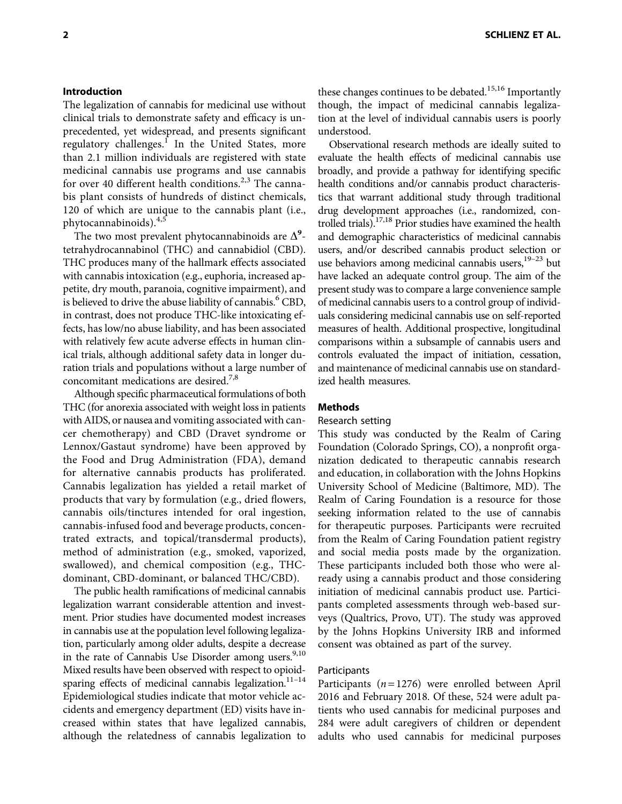The legalization of cannabis for medicinal use without clinical trials to demonstrate safety and efficacy is unprecedented, yet widespread, and presents significant regulatory challenges.<sup>1</sup> In the United States, more than 2.1 million individuals are registered with state medicinal cannabis use programs and use cannabis for over 40 different health conditions.<sup>2,3</sup> The cannabis plant consists of hundreds of distinct chemicals, 120 of which are unique to the cannabis plant (i.e., phytocannabinoids).4,5

The two most prevalent phytocannabinoids are  $\Delta^9$ tetrahydrocannabinol (THC) and cannabidiol (CBD). THC produces many of the hallmark effects associated with cannabis intoxication (e.g., euphoria, increased appetite, dry mouth, paranoia, cognitive impairment), and is believed to drive the abuse liability of cannabis.<sup>6</sup> CBD, in contrast, does not produce THC-like intoxicating effects, has low/no abuse liability, and has been associated with relatively few acute adverse effects in human clinical trials, although additional safety data in longer duration trials and populations without a large number of concomitant medications are desired.7,8

Although specific pharmaceutical formulations of both THC (for anorexia associated with weight loss in patients with AIDS, or nausea and vomiting associated with cancer chemotherapy) and CBD (Dravet syndrome or Lennox/Gastaut syndrome) have been approved by the Food and Drug Administration (FDA), demand for alternative cannabis products has proliferated. Cannabis legalization has yielded a retail market of products that vary by formulation (e.g., dried flowers, cannabis oils/tinctures intended for oral ingestion, cannabis-infused food and beverage products, concentrated extracts, and topical/transdermal products), method of administration (e.g., smoked, vaporized, swallowed), and chemical composition (e.g., THCdominant, CBD-dominant, or balanced THC/CBD).

The public health ramifications of medicinal cannabis legalization warrant considerable attention and investment. Prior studies have documented modest increases in cannabis use at the population level following legalization, particularly among older adults, despite a decrease in the rate of Cannabis Use Disorder among users.<sup>9,10</sup> Mixed results have been observed with respect to opioidsparing effects of medicinal cannabis legalization.<sup>11-14</sup> Epidemiological studies indicate that motor vehicle accidents and emergency department (ED) visits have increased within states that have legalized cannabis, although the relatedness of cannabis legalization to these changes continues to be debated.<sup>15,16</sup> Importantly though, the impact of medicinal cannabis legalization at the level of individual cannabis users is poorly understood.

Observational research methods are ideally suited to evaluate the health effects of medicinal cannabis use broadly, and provide a pathway for identifying specific health conditions and/or cannabis product characteristics that warrant additional study through traditional drug development approaches (i.e., randomized, controlled trials).<sup>17,18</sup> Prior studies have examined the health and demographic characteristics of medicinal cannabis users, and/or described cannabis product selection or use behaviors among medicinal cannabis users,<sup>19-23</sup> but have lacked an adequate control group. The aim of the present study was to compare a large convenience sample of medicinal cannabis users to a control group of individuals considering medicinal cannabis use on self-reported measures of health. Additional prospective, longitudinal comparisons within a subsample of cannabis users and controls evaluated the impact of initiation, cessation, and maintenance of medicinal cannabis use on standardized health measures.

# Methods

# Research setting

This study was conducted by the Realm of Caring Foundation (Colorado Springs, CO), a nonprofit organization dedicated to therapeutic cannabis research and education, in collaboration with the Johns Hopkins University School of Medicine (Baltimore, MD). The Realm of Caring Foundation is a resource for those seeking information related to the use of cannabis for therapeutic purposes. Participants were recruited from the Realm of Caring Foundation patient registry and social media posts made by the organization. These participants included both those who were already using a cannabis product and those considering initiation of medicinal cannabis product use. Participants completed assessments through web-based surveys (Qualtrics, Provo, UT). The study was approved by the Johns Hopkins University IRB and informed consent was obtained as part of the survey.

# Participants

Participants ( $n = 1276$ ) were enrolled between April 2016 and February 2018. Of these, 524 were adult patients who used cannabis for medicinal purposes and 284 were adult caregivers of children or dependent adults who used cannabis for medicinal purposes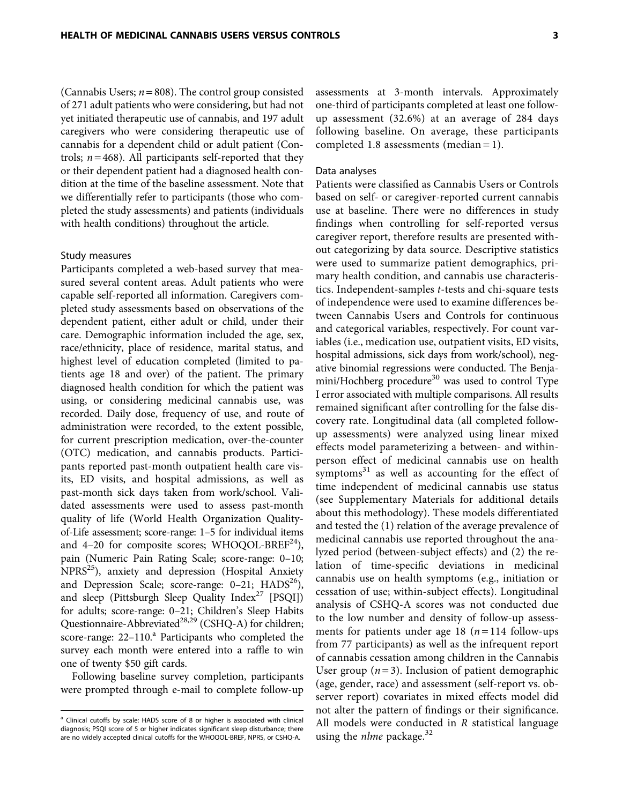(Cannabis Users;  $n = 808$ ). The control group consisted of 271 adult patients who were considering, but had not yet initiated therapeutic use of cannabis, and 197 adult caregivers who were considering therapeutic use of cannabis for a dependent child or adult patient (Controls;  $n = 468$ ). All participants self-reported that they or their dependent patient had a diagnosed health condition at the time of the baseline assessment. Note that we differentially refer to participants (those who completed the study assessments) and patients (individuals with health conditions) throughout the article.

### Study measures

Participants completed a web-based survey that measured several content areas. Adult patients who were capable self-reported all information. Caregivers completed study assessments based on observations of the dependent patient, either adult or child, under their care. Demographic information included the age, sex, race/ethnicity, place of residence, marital status, and highest level of education completed (limited to patients age 18 and over) of the patient. The primary diagnosed health condition for which the patient was using, or considering medicinal cannabis use, was recorded. Daily dose, frequency of use, and route of administration were recorded, to the extent possible, for current prescription medication, over-the-counter (OTC) medication, and cannabis products. Participants reported past-month outpatient health care visits, ED visits, and hospital admissions, as well as past-month sick days taken from work/school. Validated assessments were used to assess past-month quality of life (World Health Organization Qualityof-Life assessment; score-range: 1–5 for individual items and 4–20 for composite scores; WHOQOL-BREF $^{24}$ ), pain (Numeric Pain Rating Scale; score-range: 0–10; NPRS<sup>25</sup>), anxiety and depression (Hospital Anxiety and Depression Scale; score-range:  $0-21$ ;  $HADS<sup>26</sup>$ ), and sleep (Pittsburgh Sleep Quality Index $27$  [PSQI]) for adults; score-range: 0–21; Children's Sleep Habits Questionnaire-Abbreviated<sup>28,29</sup> (CSHQ-A) for children; score-range: 22-110.<sup>a</sup> Participants who completed the survey each month were entered into a raffle to win one of twenty \$50 gift cards.

Following baseline survey completion, participants were prompted through e-mail to complete follow-up

assessments at 3-month intervals. Approximately one-third of participants completed at least one followup assessment (32.6%) at an average of 284 days following baseline. On average, these participants completed 1.8 assessments (median = 1).

### Data analyses

Patients were classified as Cannabis Users or Controls based on self- or caregiver-reported current cannabis use at baseline. There were no differences in study findings when controlling for self-reported versus caregiver report, therefore results are presented without categorizing by data source. Descriptive statistics were used to summarize patient demographics, primary health condition, and cannabis use characteristics. Independent-samples t-tests and chi-square tests of independence were used to examine differences between Cannabis Users and Controls for continuous and categorical variables, respectively. For count variables (i.e., medication use, outpatient visits, ED visits, hospital admissions, sick days from work/school), negative binomial regressions were conducted. The Benjamini/Hochberg procedure<sup>30</sup> was used to control Type I error associated with multiple comparisons. All results remained significant after controlling for the false discovery rate. Longitudinal data (all completed followup assessments) were analyzed using linear mixed effects model parameterizing a between- and withinperson effect of medicinal cannabis use on health symptoms $31$  as well as accounting for the effect of time independent of medicinal cannabis use status (see Supplementary Materials for additional details about this methodology). These models differentiated and tested the (1) relation of the average prevalence of medicinal cannabis use reported throughout the analyzed period (between-subject effects) and (2) the relation of time-specific deviations in medicinal cannabis use on health symptoms (e.g., initiation or cessation of use; within-subject effects). Longitudinal analysis of CSHQ-A scores was not conducted due to the low number and density of follow-up assessments for patients under age 18 ( $n = 114$  follow-ups from 77 participants) as well as the infrequent report of cannabis cessation among children in the Cannabis User group  $(n=3)$ . Inclusion of patient demographic (age, gender, race) and assessment (self-report vs. observer report) covariates in mixed effects model did not alter the pattern of findings or their significance. All models were conducted in R statistical language using the *nlme* package. $32$ 

<sup>&</sup>lt;sup>a</sup> Clinical cutoffs by scale: HADS score of 8 or higher is associated with clinical diagnosis; PSQI score of 5 or higher indicates significant sleep disturbance; there are no widely accepted clinical cutoffs for the WHOQOL-BREF, NPRS, or CSHQ-A.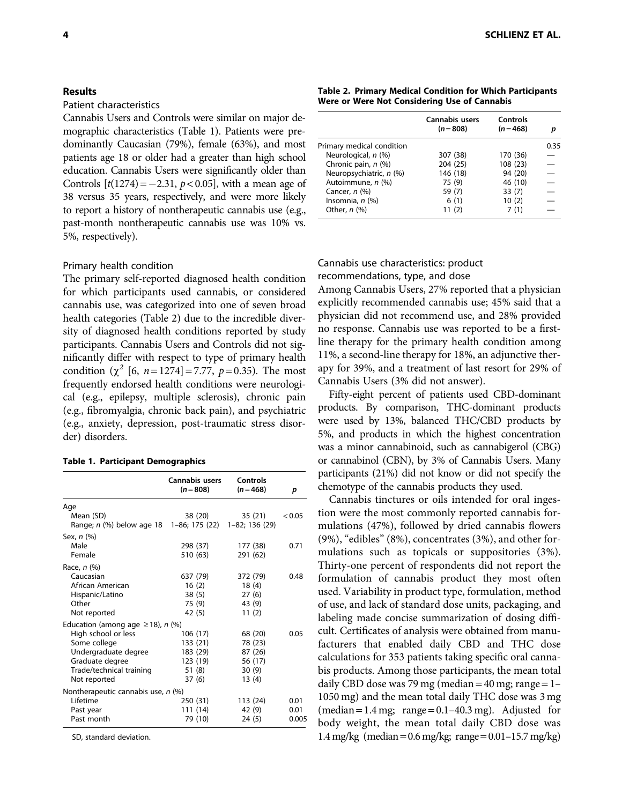# Results

### Patient characteristics

Cannabis Users and Controls were similar on major demographic characteristics (Table 1). Patients were predominantly Caucasian (79%), female (63%), and most patients age 18 or older had a greater than high school education. Cannabis Users were significantly older than Controls  $[t(1274) = -2.31, p < 0.05]$ , with a mean age of 38 versus 35 years, respectively, and were more likely to report a history of nontherapeutic cannabis use (e.g., past-month nontherapeutic cannabis use was 10% vs. 5%, respectively).

### Primary health condition

The primary self-reported diagnosed health condition for which participants used cannabis, or considered cannabis use, was categorized into one of seven broad health categories (Table 2) due to the incredible diversity of diagnosed health conditions reported by study participants. Cannabis Users and Controls did not significantly differ with respect to type of primary health condition  $(\chi^2$  [6, n = 1274] = 7.77, p = 0.35). The most frequently endorsed health conditions were neurological (e.g., epilepsy, multiple sclerosis), chronic pain (e.g., fibromyalgia, chronic back pain), and psychiatric (e.g., anxiety, depression, post-traumatic stress disorder) disorders.

### Table 1. Participant Demographics

|                                          | Cannabis users<br>$(n = 808)$ | Controls<br>$(n=468)$ | р      |
|------------------------------------------|-------------------------------|-----------------------|--------|
| Age                                      |                               |                       |        |
| Mean (SD)                                | 38 (20)                       | 35 (21)               | < 0.05 |
| Range; n (%) below age 18 1-86; 175 (22) |                               | 1-82; 136 (29)        |        |
| Sex, $n$ $(\%)$                          |                               |                       |        |
| Male                                     | 298 (37)                      | 177 (38)              | 0.71   |
| Female                                   | 510 (63)                      | 291 (62)              |        |
| Race, $n$ $(\%)$                         |                               |                       |        |
| Caucasian                                | 637 (79)                      | 372 (79)              | 0.48   |
| African American                         | 16(2)                         | 18(4)                 |        |
| Hispanic/Latino                          | 38 (5)                        | 27(6)                 |        |
| Other                                    | 75 (9)                        | 43 (9)                |        |
| Not reported                             | 42 (5)                        | 11(2)                 |        |
| Education (among age $\geq$ 18), n (%)   |                               |                       |        |
| High school or less                      | 106 (17)                      | 68 (20)               | 0.05   |
| Some college                             | 133 (21)                      | 78 (23)               |        |
| Undergraduate degree                     | 183 (29)                      | 87 (26)               |        |
| Graduate degree                          | 123 (19)                      | 56 (17)               |        |
| Trade/technical training                 | 51 (8)                        | 30(9)                 |        |
| Not reported                             | 37 (6)                        | 13(4)                 |        |
| Nontherapeutic cannabis use, $n$ (%)     |                               |                       |        |
| Lifetime                                 | 250 (31)                      | 113 (24)              | 0.01   |
| Past year                                | 111 (14)                      | 42 (9)                | 0.01   |
| Past month                               | 79 (10)                       | 24 (5)                | 0.005  |

SD, standard deviation.

Table 2. Primary Medical Condition for Which Participants Were or Were Not Considering Use of Cannabis

|                           | Cannabis users<br>$(n=808)$ | Controls<br>$(n=468)$ | D    |
|---------------------------|-----------------------------|-----------------------|------|
| Primary medical condition |                             |                       | 0.35 |
| Neurological, n (%)       | 307 (38)                    | 170 (36)              |      |
| Chronic pain, $n$ (%)     | 204 (25)                    | 108 (23)              |      |
| Neuropsychiatric, n (%)   | 146 (18)                    | 94 (20)               |      |
| Autoimmune, n (%)         | 75 (9)                      | 46 (10)               |      |
| Cancer, $n$ $(\%)$        | 59 (7)                      | 33(7)                 |      |
| Insomnia, $n$ $(\%)$      | 6(1)                        | 10(2)                 |      |
| Other, $n$ (%)            | 11 (2)                      | 7 (1)                 |      |

# Cannabis use characteristics: product recommendations, type, and dose

Among Cannabis Users, 27% reported that a physician explicitly recommended cannabis use; 45% said that a physician did not recommend use, and 28% provided no response. Cannabis use was reported to be a firstline therapy for the primary health condition among 11%, a second-line therapy for 18%, an adjunctive therapy for 39%, and a treatment of last resort for 29% of Cannabis Users (3% did not answer).

Fifty-eight percent of patients used CBD-dominant products. By comparison, THC-dominant products were used by 13%, balanced THC/CBD products by 5%, and products in which the highest concentration was a minor cannabinoid, such as cannabigerol (CBG) or cannabinol (CBN), by 3% of Cannabis Users. Many participants (21%) did not know or did not specify the chemotype of the cannabis products they used.

Cannabis tinctures or oils intended for oral ingestion were the most commonly reported cannabis formulations (47%), followed by dried cannabis flowers (9%), "edibles" (8%), concentrates (3%), and other formulations such as topicals or suppositories (3%). Thirty-one percent of respondents did not report the formulation of cannabis product they most often used. Variability in product type, formulation, method of use, and lack of standard dose units, packaging, and labeling made concise summarization of dosing difficult. Certificates of analysis were obtained from manufacturers that enabled daily CBD and THC dose calculations for 353 patients taking specific oral cannabis products. Among those participants, the mean total daily CBD dose was 79 mg (median =  $40$  mg; range =  $1-$ 1050 mg) and the mean total daily THC dose was 3 mg  $(median = 1.4 mg; range = 0.1-40.3 mg)$ . Adjusted for body weight, the mean total daily CBD dose was 1.4 mg/kg (median =  $0.6$  mg/kg; range =  $0.01-15.7$  mg/kg)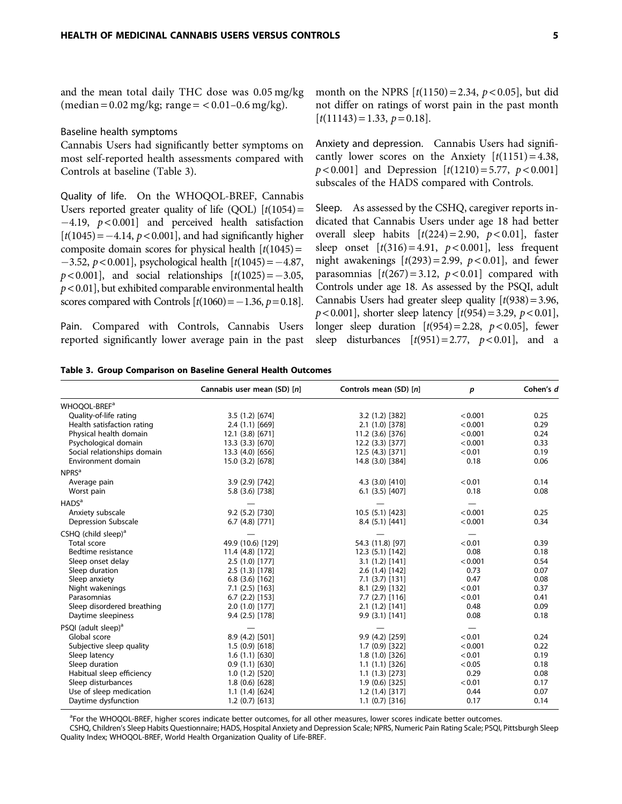and the mean total daily THC dose was 0.05 mg/kg  $(median = 0.02 \text{ mg/kg}; \text{range} = < 0.01 - 0.6 \text{ mg/kg}).$ 

# Baseline health symptoms

Cannabis Users had significantly better symptoms on most self-reported health assessments compared with Controls at baseline (Table 3).

Quality of life. On the WHOQOL-BREF, Cannabis Users reported greater quality of life (QOL)  $[t(1054)$  =  $-4.19$ ,  $p < 0.001$ ] and perceived health satisfaction  $[t(1045) = -4.14, p < 0.001]$ , and had significantly higher composite domain scores for physical health  $[t(1045) =$  $-3.52, p < 0.001$ ], psychological health  $[t(1045) = -4.87,$  $p < 0.001$ ], and social relationships  $[t(1025) = -3.05,$  $p < 0.01$ ], but exhibited comparable environmental health scores compared with Controls  $[t(1060) = -1.36, p = 0.18]$ .

Pain. Compared with Controls, Cannabis Users reported significantly lower average pain in the past month on the NPRS  $[t(1150) = 2.34, p < 0.05]$ , but did not differ on ratings of worst pain in the past month  $[t(11143) = 1.33, p = 0.18].$ 

Anxiety and depression. Cannabis Users had significantly lower scores on the Anxiety  $[t(1151) = 4.38]$ ,  $p < 0.001$ ] and Depression  $[t(1210) = 5.77, p < 0.001]$ subscales of the HADS compared with Controls.

Sleep. As assessed by the CSHQ, caregiver reports indicated that Cannabis Users under age 18 had better overall sleep habits  $[t(224)=2.90, p<0.01]$ , faster sleep onset  $[t(316) = 4.91, p < 0.001]$ , less frequent night awakenings  $[t(293) = 2.99, p < 0.01]$ , and fewer parasomnias  $[t(267) = 3.12, p < 0.01]$  compared with Controls under age 18. As assessed by the PSQI, adult Cannabis Users had greater sleep quality  $[t(938) = 3.96]$ ,  $p < 0.001$ ], shorter sleep latency  $[t(954) = 3.29, p < 0.01]$ , longer sleep duration  $[t(954) = 2.28, p < 0.05]$ , fewer sleep disturbances  $[t(951)=2.77, p<0.01]$ , and a

|  |  | Table 3. Group Comparison on Baseline General Health Outcomes |  |  |  |  |  |
|--|--|---------------------------------------------------------------|--|--|--|--|--|
|--|--|---------------------------------------------------------------|--|--|--|--|--|

|                                   | Cannabis user mean (SD) [n] | Controls mean (SD) [n] | p       | Cohen's d |
|-----------------------------------|-----------------------------|------------------------|---------|-----------|
| WHOOOL-BREF <sup>a</sup>          |                             |                        |         |           |
| Quality-of-life rating            | 3.5 (1.2) [674]             | 3.2 (1.2) [382]        | < 0.001 | 0.25      |
| Health satisfaction rating        | 2.4(1.1)[669]               | 2.1 (1.0) [378]        | < 0.001 | 0.29      |
| Physical health domain            | 12.1 (3.8) [671]            | 11.2 (3.6) [376]       | < 0.001 | 0.24      |
| Psychological domain              | 13.3 (3.3) [670]            | 12.2 (3.3) [377]       | < 0.001 | 0.33      |
| Social relationships domain       | 13.3 (4.0) [656]            | 12.5 (4.3) [371]       | < 0.01  | 0.19      |
| Environment domain                | 15.0 (3.2) [678]            | 14.8 (3.0) [384]       | 0.18    | 0.06      |
| NPRS <sup>a</sup>                 |                             |                        |         |           |
| Average pain                      | 3.9 (2.9) [742]             | 4.3 (3.0) [410]        | < 0.01  | 0.14      |
| Worst pain                        | 5.8 (3.6) [738]             | $6.1$ $(3.5)$ $[407]$  | 0.18    | 0.08      |
| HADS <sup>a</sup>                 |                             |                        |         |           |
| Anxiety subscale                  | 9.2 (5.2) [730]             | 10.5 (5.1) [423]       | < 0.001 | 0.25      |
| Depression Subscale               | $6.7(4.8)$ [771]            | 8.4(5.1)[441]          | < 0.001 | 0.34      |
| $CSHQ$ (child sleep) <sup>a</sup> |                             |                        |         |           |
| <b>Total score</b>                | 49.9 (10.6) [129]           | 54.3 (11.8) [97]       | < 0.01  | 0.39      |
| Bedtime resistance                | 11.4 (4.8) [172]            | 12.3 (5.1) [142]       | 0.08    | 0.18      |
| Sleep onset delay                 | 2.5 (1.0) [177]             | 3.1(1.2)[141]          | < 0.001 | 0.54      |
| Sleep duration                    | 2.5(1.3)[178]               | 2.6(1.4)[142]          | 0.73    | 0.07      |
| Sleep anxiety                     | $6.8$ (3.6) [162]           | $7.1$ (3.7) [131]      | 0.47    | 0.08      |
| Night wakenings                   | $7.1$ (2.5) [163]           | $8.1(2.9)$ [132]       | < 0.01  | 0.37      |
| Parasomnias                       | $6.7$ $(2.2)$ $[153]$       | $7.7(2.7)$ [116]       | < 0.01  | 0.41      |
| Sleep disordered breathing        | 2.0(1.0)[177]               | 2.1(1.2)[141]          | 0.48    | 0.09      |
| Daytime sleepiness                | 9.4 (2.5) [178]             | 9.9(3.1)[141]          | 0.08    | 0.18      |
| PSQI (adult sleep) <sup>a</sup>   |                             |                        |         |           |
| Global score                      | 8.9 (4.2) [501]             | 9.9 (4.2) [259]        | < 0.01  | 0.24      |
| Subjective sleep quality          | 1.5(0.9)[618]               | 1.7(0.9)[322]          | < 0.001 | 0.22      |
| Sleep latency                     | 1.6(1.1)[630]               | 1.8(1.0)[326]          | < 0.01  | 0.19      |
| Sleep duration                    | 0.9(1.1)[630]               | 1.1(1.1)[326]          | < 0.05  | 0.18      |
| Habitual sleep efficiency         | 1.0(1.2)[520]               | 1.1(1.3)[273]          | 0.29    | 0.08      |
| Sleep disturbances                | 1.8(0.6)[628]               | 1.9(0.6)[325]          | < 0.01  | 0.17      |
| Use of sleep medication           | 1.1(1.4)[624]               | 1.2(1.4)[317]          | 0.44    | 0.07      |
| Daytime dysfunction               | $1.2$ (0.7) [613]           | $1.1$ (0.7) [316]      | 0.17    | 0.14      |

<sup>a</sup>For the WHOQOL-BREF, higher scores indicate better outcomes, for all other measures, lower scores indicate better outcomes.

CSHQ, Children's Sleep Habits Questionnaire; HADS, Hospital Anxiety and Depression Scale; NPRS, Numeric Pain Rating Scale; PSQI, Pittsburgh Sleep Quality Index; WHOQOL-BREF, World Health Organization Quality of Life-BREF.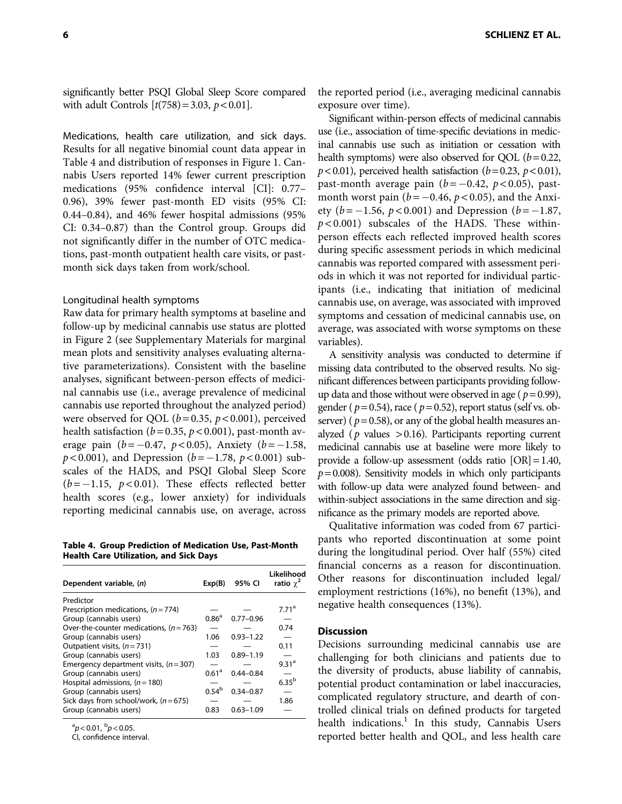Medications, health care utilization, and sick days. Results for all negative binomial count data appear in Table 4 and distribution of responses in Figure 1. Cannabis Users reported 14% fewer current prescription medications (95% confidence interval [CI]: 0.77– 0.96), 39% fewer past-month ED visits (95% CI: 0.44–0.84), and 46% fewer hospital admissions (95% CI: 0.34–0.87) than the Control group. Groups did not significantly differ in the number of OTC medications, past-month outpatient health care visits, or pastmonth sick days taken from work/school.

# Longitudinal health symptoms

Raw data for primary health symptoms at baseline and follow-up by medicinal cannabis use status are plotted in Figure 2 (see Supplementary Materials for marginal mean plots and sensitivity analyses evaluating alternative parameterizations). Consistent with the baseline analyses, significant between-person effects of medicinal cannabis use (i.e., average prevalence of medicinal cannabis use reported throughout the analyzed period) were observed for QOL ( $b = 0.35$ ,  $p < 0.001$ ), perceived health satisfaction ( $b = 0.35$ ,  $p < 0.001$ ), past-month average pain  $(b = -0.47, p < 0.05)$ , Anxiety  $(b = -1.58,$  $p < 0.001$ ), and Depression ( $b = -1.78$ ,  $p < 0.001$ ) subscales of the HADS, and PSQI Global Sleep Score  $(b=-1.15, p<0.01)$ . These effects reflected better health scores (e.g., lower anxiety) for individuals reporting medicinal cannabis use, on average, across

Table 4. Group Prediction of Medication Use, Past-Month Health Care Utilization, and Sick Days

| Dependent variable, (n)                 | Exp(B)            | 95% CI        | Likelihood<br>ratio $\chi^2$ |
|-----------------------------------------|-------------------|---------------|------------------------------|
| Predictor                               |                   |               |                              |
| Prescription medications, $(n=774)$     |                   |               | 7.71 <sup>a</sup>            |
| Group (cannabis users)                  | 0.86 <sup>a</sup> | $0.77 - 0.96$ |                              |
| Over-the-counter medications, $(n=763)$ |                   |               | 0.74                         |
| Group (cannabis users)                  | 1.06              | $0.93 - 1.22$ |                              |
| Outpatient visits, $(n = 731)$          |                   |               | 0.11                         |
| Group (cannabis users)                  | 1.03              | $0.89 - 1.19$ |                              |
| Emergency department visits, $(n=307)$  |                   |               | 9.31 <sup>a</sup>            |
| Group (cannabis users)                  | 0.61 <sup>a</sup> | $0.44 - 0.84$ |                              |
| Hospital admissions, $(n = 180)$        |                   |               | $6.35^{b}$                   |
| Group (cannabis users)                  | $0.54^{b}$        | 0.34-0.87     |                              |
| Sick days from school/work, $(n=675)$   |                   |               | 1.86                         |
| Group (cannabis users)                  | 0.83              | $0.63 - 1.09$ |                              |

 ${}^{\rm a}p$  < 0.01,  ${}^{\rm b}p$  < 0.05.

CI, confidence interval.

the reported period (i.e., averaging medicinal cannabis exposure over time).

Significant within-person effects of medicinal cannabis use (i.e., association of time-specific deviations in medicinal cannabis use such as initiation or cessation with health symptoms) were also observed for QOL ( $b = 0.22$ ,  $p$  < 0.01), perceived health satisfaction ( $b$  = 0.23,  $p$  < 0.01), past-month average pain  $(b = -0.42, p < 0.05)$ , pastmonth worst pain ( $b = -0.46$ ,  $p < 0.05$ ), and the Anxiety ( $b = -1.56$ ,  $p < 0.001$ ) and Depression ( $b = -1.87$ ,  $p$ <0.001) subscales of the HADS. These withinperson effects each reflected improved health scores during specific assessment periods in which medicinal cannabis was reported compared with assessment periods in which it was not reported for individual participants (i.e., indicating that initiation of medicinal cannabis use, on average, was associated with improved symptoms and cessation of medicinal cannabis use, on average, was associated with worse symptoms on these variables).

A sensitivity analysis was conducted to determine if missing data contributed to the observed results. No significant differences between participants providing followup data and those without were observed in age ( $p = 0.99$ ), gender ( $p=0.54$ ), race ( $p=0.52$ ), report status (self vs. observer) ( $p = 0.58$ ), or any of the global health measures analyzed ( $p$  values  $> 0.16$ ). Participants reporting current medicinal cannabis use at baseline were more likely to provide a follow-up assessment (odds ratio  $[OR] = 1.40$ ,  $p = 0.008$ ). Sensitivity models in which only participants with follow-up data were analyzed found between- and within-subject associations in the same direction and significance as the primary models are reported above.

Qualitative information was coded from 67 participants who reported discontinuation at some point during the longitudinal period. Over half (55%) cited financial concerns as a reason for discontinuation. Other reasons for discontinuation included legal/ employment restrictions (16%), no benefit (13%), and negative health consequences (13%).

# **Discussion**

Decisions surrounding medicinal cannabis use are challenging for both clinicians and patients due to the diversity of products, abuse liability of cannabis, potential product contamination or label inaccuracies, complicated regulatory structure, and dearth of controlled clinical trials on defined products for targeted health indications. $<sup>1</sup>$  In this study, Cannabis Users</sup> reported better health and QOL, and less health care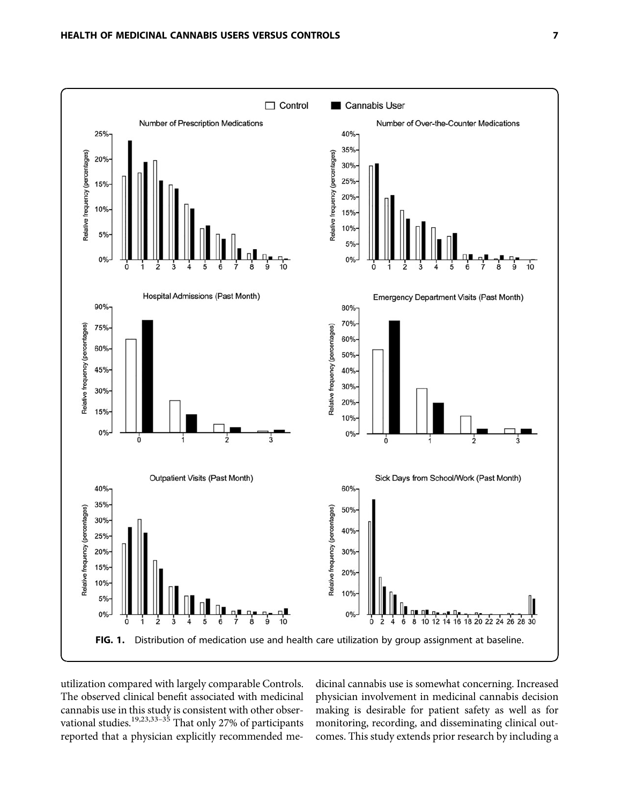

utilization compared with largely comparable Controls. The observed clinical benefit associated with medicinal cannabis use in this study is consistent with other observational studies.<sup>19,23,33–35</sup> That only 27% of participants reported that a physician explicitly recommended medicinal cannabis use is somewhat concerning. Increased physician involvement in medicinal cannabis decision making is desirable for patient safety as well as for monitoring, recording, and disseminating clinical outcomes. This study extends prior research by including a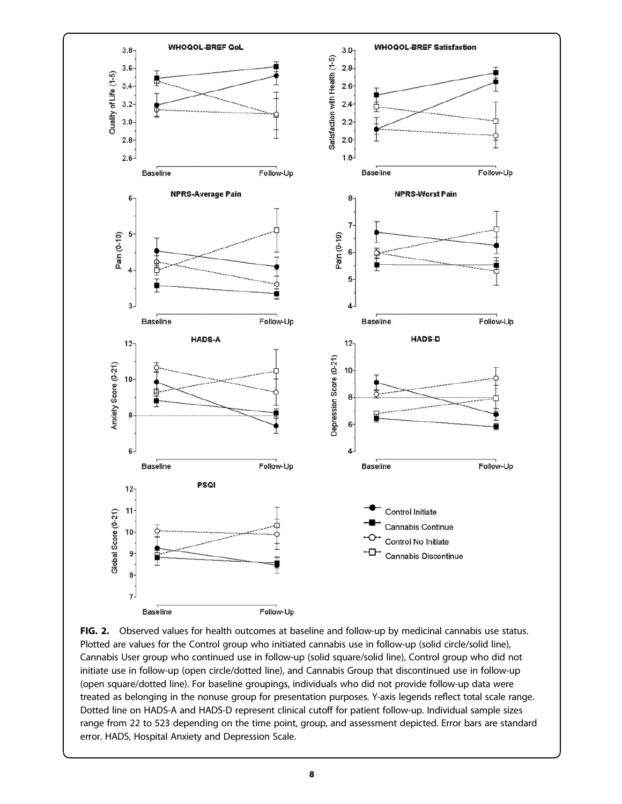

FIG. 2. Observed values for health outcomes at baseline and follow-up by medicinal cannabis use status. Plotted are values for the Control group who initiated cannabis use in follow-up (solid circle/solid line), Cannabis User group who continued use in follow-up (solid square/solid line), Control group who did not initiate use in follow-up (open circle/dotted line), and Cannabis Group that discontinued use in follow-up (open square/dotted line). For baseline groupings, individuals who did not provide follow-up data were treated as belonging in the nonuse group for presentation purposes. Y-axis legends reflect total scale range. Dotted line on HADS-A and HADS-D represent clinical cutoff for patient follow-up. Individual sample sizes range from 22 to 523 depending on the time point, group, and assessment depicted. Error bars are standard error. HADS, Hospital Anxiety and Depression Scale.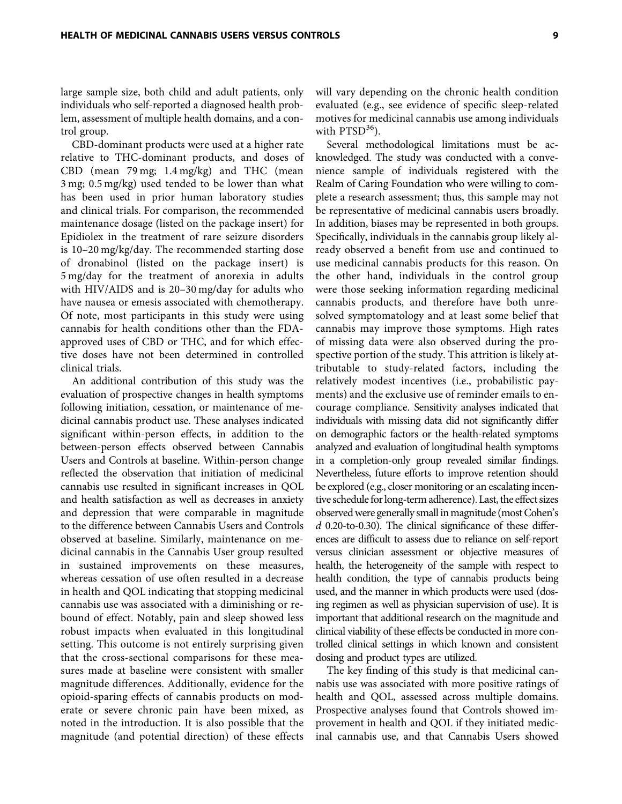large sample size, both child and adult patients, only individuals who self-reported a diagnosed health problem, assessment of multiple health domains, and a control group.

CBD-dominant products were used at a higher rate relative to THC-dominant products, and doses of CBD (mean 79 mg; 1.4 mg/kg) and THC (mean 3 mg; 0.5 mg/kg) used tended to be lower than what has been used in prior human laboratory studies and clinical trials. For comparison, the recommended maintenance dosage (listed on the package insert) for Epidiolex in the treatment of rare seizure disorders is 10–20 mg/kg/day. The recommended starting dose of dronabinol (listed on the package insert) is 5 mg/day for the treatment of anorexia in adults with HIV/AIDS and is 20–30 mg/day for adults who have nausea or emesis associated with chemotherapy. Of note, most participants in this study were using cannabis for health conditions other than the FDAapproved uses of CBD or THC, and for which effective doses have not been determined in controlled clinical trials.

An additional contribution of this study was the evaluation of prospective changes in health symptoms following initiation, cessation, or maintenance of medicinal cannabis product use. These analyses indicated significant within-person effects, in addition to the between-person effects observed between Cannabis Users and Controls at baseline. Within-person change reflected the observation that initiation of medicinal cannabis use resulted in significant increases in QOL and health satisfaction as well as decreases in anxiety and depression that were comparable in magnitude to the difference between Cannabis Users and Controls observed at baseline. Similarly, maintenance on medicinal cannabis in the Cannabis User group resulted in sustained improvements on these measures, whereas cessation of use often resulted in a decrease in health and QOL indicating that stopping medicinal cannabis use was associated with a diminishing or rebound of effect. Notably, pain and sleep showed less robust impacts when evaluated in this longitudinal setting. This outcome is not entirely surprising given that the cross-sectional comparisons for these measures made at baseline were consistent with smaller magnitude differences. Additionally, evidence for the opioid-sparing effects of cannabis products on moderate or severe chronic pain have been mixed, as noted in the introduction. It is also possible that the magnitude (and potential direction) of these effects

will vary depending on the chronic health condition evaluated (e.g., see evidence of specific sleep-related motives for medicinal cannabis use among individuals with  $PTSD<sup>36</sup>$ ).

Several methodological limitations must be acknowledged. The study was conducted with a convenience sample of individuals registered with the Realm of Caring Foundation who were willing to complete a research assessment; thus, this sample may not be representative of medicinal cannabis users broadly. In addition, biases may be represented in both groups. Specifically, individuals in the cannabis group likely already observed a benefit from use and continued to use medicinal cannabis products for this reason. On the other hand, individuals in the control group were those seeking information regarding medicinal cannabis products, and therefore have both unresolved symptomatology and at least some belief that cannabis may improve those symptoms. High rates of missing data were also observed during the prospective portion of the study. This attrition is likely attributable to study-related factors, including the relatively modest incentives (i.e., probabilistic payments) and the exclusive use of reminder emails to encourage compliance. Sensitivity analyses indicated that individuals with missing data did not significantly differ on demographic factors or the health-related symptoms analyzed and evaluation of longitudinal health symptoms in a completion-only group revealed similar findings. Nevertheless, future efforts to improve retention should be explored (e.g., closer monitoring or an escalating incentive schedule for long-term adherence). Last, the effect sizes observed were generally small in magnitude (most Cohen's  $d$  0.20-to-0.30). The clinical significance of these differences are difficult to assess due to reliance on self-report versus clinician assessment or objective measures of health, the heterogeneity of the sample with respect to health condition, the type of cannabis products being used, and the manner in which products were used (dosing regimen as well as physician supervision of use). It is important that additional research on the magnitude and clinical viability of these effects be conducted in more controlled clinical settings in which known and consistent dosing and product types are utilized.

The key finding of this study is that medicinal cannabis use was associated with more positive ratings of health and QOL, assessed across multiple domains. Prospective analyses found that Controls showed improvement in health and QOL if they initiated medicinal cannabis use, and that Cannabis Users showed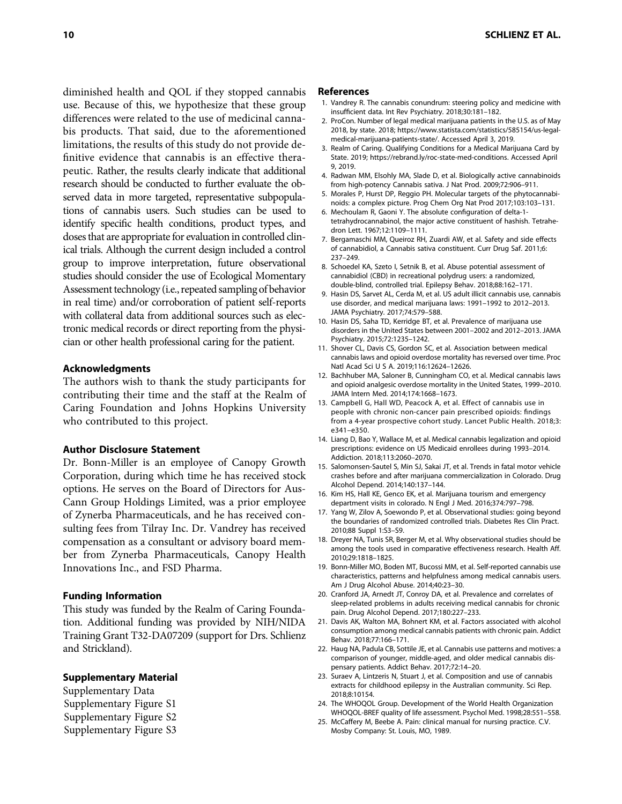diminished health and QOL if they stopped cannabis use. Because of this, we hypothesize that these group differences were related to the use of medicinal cannabis products. That said, due to the aforementioned limitations, the results of this study do not provide definitive evidence that cannabis is an effective therapeutic. Rather, the results clearly indicate that additional research should be conducted to further evaluate the observed data in more targeted, representative subpopulations of cannabis users. Such studies can be used to identify specific health conditions, product types, and doses that are appropriate for evaluation in controlled clinical trials. Although the current design included a control group to improve interpretation, future observational studies should consider the use of Ecological Momentary Assessment technology (i.e., repeated sampling of behavior in real time) and/or corroboration of patient self-reports with collateral data from additional sources such as electronic medical records or direct reporting from the physician or other health professional caring for the patient.

### Acknowledgments

The authors wish to thank the study participants for contributing their time and the staff at the Realm of Caring Foundation and Johns Hopkins University who contributed to this project.

### Author Disclosure Statement

Dr. Bonn-Miller is an employee of Canopy Growth Corporation, during which time he has received stock options. He serves on the Board of Directors for Aus-Cann Group Holdings Limited, was a prior employee of Zynerba Pharmaceuticals, and he has received consulting fees from Tilray Inc. Dr. Vandrey has received compensation as a consultant or advisory board member from Zynerba Pharmaceuticals, Canopy Health Innovations Inc., and FSD Pharma.

# Funding Information

This study was funded by the Realm of Caring Foundation. Additional funding was provided by NIH/NIDA Training Grant T32-DA07209 (support for Drs. Schlienz and Strickland).

# Supplementary Material

Supplementary Data Supplementary Figure S1 Supplementary Figure S2 Supplementary Figure S3

### References

- 1. Vandrey R. The cannabis conundrum: steering policy and medicine with insufficient data. Int Rev Psychiatry. 2018;30:181–182.
- 2. ProCon. Number of legal medical marijuana patients in the U.S. as of May 2018, by state. 2018; [https://www.statista.com/statistics/585154/us-legal](https://www.statista.com/statistics/585154/us-legal-medical-marijuana-patients-state/)[medical-marijuana-patients-state/.](https://www.statista.com/statistics/585154/us-legal-medical-marijuana-patients-state/) Accessed April 3, 2019.
- 3. Realm of Caring. Qualifying Conditions for a Medical Marijuana Card by State. 2019; https://rebrand.ly/roc-state-med-conditions. Accessed April 9, 2019.
- 4. Radwan MM, Elsohly MA, Slade D, et al. Biologically active cannabinoids from high-potency Cannabis sativa. J Nat Prod. 2009;72:906–911.
- 5. Morales P, Hurst DP, Reggio PH. Molecular targets of the phytocannabinoids: a complex picture. Prog Chem Org Nat Prod 2017;103:103–131.
- 6. Mechoulam R, Gaoni Y. The absolute configuration of delta-1 tetrahydrocannabinol, the major active constituent of hashish. Tetrahedron Lett. 1967;12:1109–1111.
- 7. Bergamaschi MM, Queiroz RH, Zuardi AW, et al. Safety and side effects of cannabidiol, a Cannabis sativa constituent. Curr Drug Saf. 2011;6: 237–249.
- 8. Schoedel KA, Szeto I, Setnik B, et al. Abuse potential assessment of cannabidiol (CBD) in recreational polydrug users: a randomized, double-blind, controlled trial. Epilepsy Behav. 2018;88:162–171.
- 9. Hasin DS, Sarvet AL, Cerda M, et al. US adult illicit cannabis use, cannabis use disorder, and medical marijuana laws: 1991–1992 to 2012–2013. JAMA Psychiatry. 2017;74:579–588.
- 10. Hasin DS, Saha TD, Kerridge BT, et al. Prevalence of marijuana use disorders in the United States between 2001–2002 and 2012–2013. JAMA Psychiatry. 2015;72:1235–1242.
- 11. Shover CL, Davis CS, Gordon SC, et al. Association between medical cannabis laws and opioid overdose mortality has reversed over time. Proc Natl Acad Sci U S A. 2019;116:12624–12626.
- 12. Bachhuber MA, Saloner B, Cunningham CO, et al. Medical cannabis laws and opioid analgesic overdose mortality in the United States, 1999–2010. JAMA Intern Med. 2014;174:1668–1673.
- 13. Campbell G, Hall WD, Peacock A, et al. Effect of cannabis use in people with chronic non-cancer pain prescribed opioids: findings from a 4-year prospective cohort study. Lancet Public Health. 2018;3: e341–e350.
- 14. Liang D, Bao Y, Wallace M, et al. Medical cannabis legalization and opioid prescriptions: evidence on US Medicaid enrollees during 1993–2014. Addiction. 2018;113:2060–2070.
- 15. Salomonsen-Sautel S, Min SJ, Sakai JT, et al. Trends in fatal motor vehicle crashes before and after marijuana commercialization in Colorado. Drug Alcohol Depend. 2014;140:137–144.
- 16. Kim HS, Hall KE, Genco EK, et al. Marijuana tourism and emergency department visits in colorado. N Engl J Med. 2016;374:797–798.
- 17. Yang W, Zilov A, Soewondo P, et al. Observational studies: going beyond the boundaries of randomized controlled trials. Diabetes Res Clin Pract. 2010;88 Suppl 1:S3–S9.
- 18. Dreyer NA, Tunis SR, Berger M, et al. Why observational studies should be among the tools used in comparative effectiveness research. Health Aff. 2010;29:1818–1825.
- 19. Bonn-Miller MO, Boden MT, Bucossi MM, et al. Self-reported cannabis use characteristics, patterns and helpfulness among medical cannabis users. Am J Drug Alcohol Abuse. 2014;40:23–30.
- 20. Cranford JA, Arnedt JT, Conroy DA, et al. Prevalence and correlates of sleep-related problems in adults receiving medical cannabis for chronic pain. Drug Alcohol Depend. 2017;180:227–233.
- 21. Davis AK, Walton MA, Bohnert KM, et al. Factors associated with alcohol consumption among medical cannabis patients with chronic pain. Addict Behav. 2018;77:166–171.
- 22. Haug NA, Padula CB, Sottile JE, et al. Cannabis use patterns and motives: a comparison of younger, middle-aged, and older medical cannabis dispensary patients. Addict Behav. 2017;72:14–20.
- 23. Suraev A, Lintzeris N, Stuart J, et al. Composition and use of cannabis extracts for childhood epilepsy in the Australian community. Sci Rep. 2018;8:10154.
- 24. The WHOQOL Group. Development of the World Health Organization WHOQOL-BREF quality of life assessment. Psychol Med. 1998;28:551–558.
- 25. McCaffery M, Beebe A. Pain: clinical manual for nursing practice. C.V. Mosby Company: St. Louis, MO, 1989.